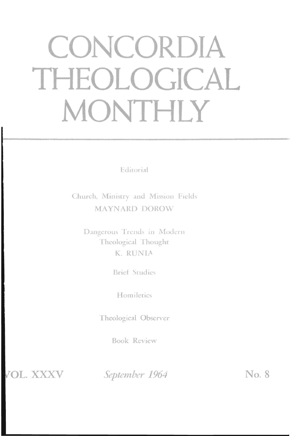# CONCORDIA THEOLOGICAL MONTHLY

Editorial

Church, Ministry and Mission Fields **MAYNARD DOROW** 

Dangerous Trends in Modern Theological Thought K RUNIA

**Brief Studies** 

Homiletics

Theological Observer

**Book Review** 

OL. XXXV

September 1964

No. 8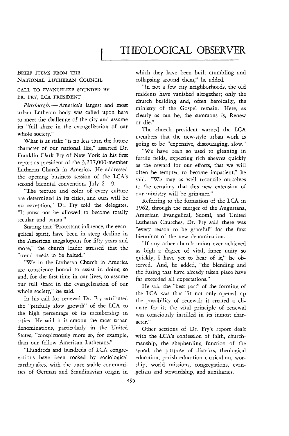# THEOLOGICAL OBSERVER

#### BRIEF ITEMS FROM THE NATIONAL LUTHERAN COUNCIL

# CALL TO EVANGELIZE SOUNDED BY DR. FRY, LCA PRESIDENT

Pittsburgh. - America's largest and most urban Lutheran body was called upon here to meet the challenge of the city and assume its "full share in the evangelization of our whole society."

What is at stake "is no less than the future character of our national life," asserted Dr. Franklin Clark Fry of New York in his first report as president of the 3,227,OOO-member lutheran Church in America. He addressed the opening business session of the LCA's second biennial convention, July 2-9.

"The texture and color of every culture are determined in its cities, and ours will be no exception," Dr. Fry told the delegates. "It must not be allowed to become totally secular and pagan."

Stating that "Protestant influence, the evangelical spirit, have been in steep decline in the American megalopolis for fifty years and more," the church leader stressed that the "trend needs to be halted."

*"Vie* in the Lutheran Church in America are conscience bound to assist in doing so and, for the first time in our lives, to assume our full share in the evangelization of our whole society," he said.

In his call for renewal Dr. Fry attributed the "pitifully slow growth" of the LCA to the high percentage of its membership in cities. He said it is among the most urban denominations, particularly in the United States, "conspicuously more so, for example, than our fellow American Lutherans."

"Hundreds and hundreds of LCA congregations have been rocked by sociological earthquakes, with the once stable communities of German and Scandinavian origin in which they have been built crumbling and collapsing around them," he added.

"In not a few city neighborhoods, the old residents have vanished altogether; only the church building and, often heroically, the ministry of the Gospel remain. Here, as clearly as can be, the summons is, Renew or die."

The church president warned the LCA members that the new-style urban work is going to be "expensive, discouraging, slow."

"We have been so used to gleaning in fertile fields, expecting rich sheaves quickly as the reward for our efforts, that we will often be tempted to become impatient," he said. "We may as well reconcile ourselves to the certainty that this new extension of our ministry will be grimmer."

Referring to the formation of the LCA in 1962, through the merger of the Augustana, American Evangelical, Suomi, and United Lutheran Churches, Dr. Fry said there was "every reason to be grateful" for the first biennium of the new denomination.

"If any other church union ever achieved as high a degree of vital, inner unity so quickly, I have yet to hear of *it,"* he observed. And, he added, "the blending and the fusing that have already taken place have far exceeded all expectations."

He said the "best part" of the forming of the LCA was that "it not only opened up the possibility of renewal; it created a climate for it; the vital principle of renewal was consciously instilled in its inmost character."

Other sections of Dr. Fry's report dealt with the LCA's confession of faith, churchmanship, the shepherding function of the synod, the purpose of districts, theological education, parish education curriculum, worship, world missions, congregations, evangelism and stewardship, and auxiliaries.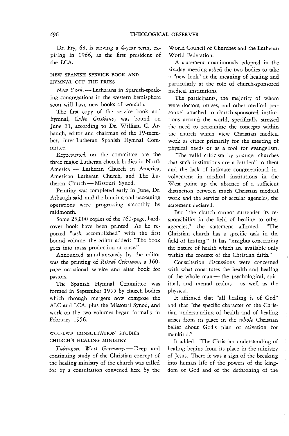Dr. Fry, 63, is serving a 4-year term, expiring in 1966, as the first president of the LCA.

# NEW SPANISH SERVICE BOOK AND HYMNAL OFF THE PRESS

*New York.* - Lutherans in Spanish-speaking congregations in the western hemisphere soon will have new books of worship.

The first copy of the service book and hymnal, *Culto Cristiano,* was bound on June 11, according to Dr. William C. Arbaugh, editor and chairman of the 19-member, inter-Lutheran Spanish Hymnal Committee.

Represented on the committee are the three major Lutheran church bodies **in** North America - Lutheran Church in America, American Lutheran Church, and The **Lu**theran Church-Missouri Synod.

Printing was completed early in June, Dr. Arbaugh said, and the binding and packaging operations were progressing smoothly by midmonth.

Some 25,000 copies of the 760-page, hardcover book have been printed. As he reported "task accomplished" with the first bound volume, the editor added: "The book goes into mass production at once."

Announced simultaneously by the editor was the printing of *Ritual Cristiano,* a 160 page occasional service and altar book for pastors.

The Spanish Hymnal Committee was formed in September 1955 by church bodies which through mergers now compose the ALC and LCA, plus the Missouri Synod, and work on the two volumes began formally in February 1956.

# WCC-LWF CONSULTATION STUDIES CHURCH'S HEALING MINISTRY

Tübingen, West Germany. - Deep and continuing study of the Christian concept of the healing ministry of the church was called for by a consultation convened here by the

WorId Council of Churches and the Lutheran World Federation.

A statement unanimously adopted **in** the six-day meeting asked the two bodies to take a "new look" at the meaning of healing and particularly at the role of church-sponsored medical instimtions.

The participants, the majority of whom were doctors, nurses, and other medical personnel attached to church-sponsored instimtions around the world, specifically stressed the need to reexamine the concepts within the church which view Christian medical work as either primarily for the meeting of physical needs or as a tool for evangelism.

"The valid criticism by younger churches that such institutions are a burden" to them and the lack of intimate congregational involvement in medical institutions in the West point up the absence of a sufficient distinction between much Christian medical work and the service of secular agencies, the statement declared.

But "the church cannot surrender its responsibility in the field of healing to other agencies," the statement affirmed. "The Christian church has a specific task in the field of healing." It has "insights concerning the nature of health which are available only within the context of the Christian faith."

Consultation discussions were concerned with what constitutes the health and healing of the whole  $man$ — the psychological, spiritual, and mental realms - as well as the physical.

It affirmed that "all healing is of God" and that "the specific character of the Christian understanding of heaith and of healing arises from its place in the *whole* Christian belief about God's plan of salvation for mankind."

It added: "The Christian understanding of healing begins from its place in the ministry of Jesus. There it was a sign of the breaking into human life of the powers of the kingdom of God and of the dethroning of the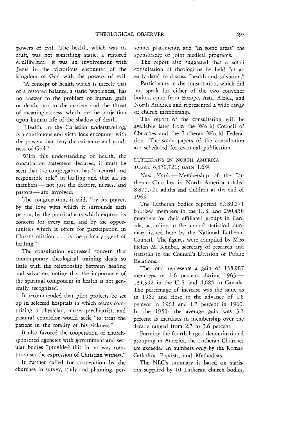powers of evil. The health, which was its fruit, was not something static, a restored equilibrium: it was an involvement with Jesus in the victorious encounter of the kingdom of God with the powers of evil.

"A concept of health which is merely that of a restored balance, a static 'wholeness,' has no answer to the problem of human guilt or death, nor to the anxiety and the threat of meaninglessness, which are the projection upon human life of the shadow of death.

"Health, in the Christian understanding, is a continuous and victorious encounter with the powers that deny the existence and goodness of God."

With this understanding of health, the consultation statement declared, it must be seen that the congregation has "a central and responsible role" in healing and that all its members - not just the doctors, nurses, and pastors - are involved.

The congregation, it said, "by its prayer, by the love with which it surrounds each person, by the practical acts which express its concern for every man, and by the opportunities which it offers for participation in Christ's mission ... is the primary agent of healing."

The consultation expressed concern that contemporary theological training deals so little with the relationship between healing and salvation, noting that the importance of the spiritual component in health is not generally recognized.

It recommended that pilot projects be set up in selected hospitals in which teams comprising a physician, nurse, psychiatrist, and pastoral counselor would seek "to treat the patient in the totality of his sickness."

It also favored the cooperation of churchsponsored agencies with government and secular bodies "provided this in no way compromises the expression of Christian witness."

It further called for cooperation by the churches in survey, study and planning, personnel placements, and "in some areas" the sponsorship of joint medical programs.

The report also suggested that a small consultation of theologians be held "at an early date" to discuss "health and salvation,"

Participants in the consultation, which did not speak for either of the two convenor bodies, came from Europe, Asia, Africa, and North America and represented a wide range of church membership.

The report of the consultation will be available later from the World Council of Churches and the Lutheran World Federation. The study papers of the consultation are scheduled for eventual publication.

### LUTHERANS IN NORTH AMERICA TOTAL 8,870,721; GAIN 1.6%

*New York.* -- Membership of the Lutheran Churches in North America totaled 8,870,721 adults and children at the end of 1963.

The Lutheran bodies reported 8,580,271 baptized members in the U. S. and 290,450 members for their affiliated groups in Canada, according to the annual statistical summary issued here by the National Lutheran Council. The figures were compiled by Miss Helen M. Knubel, secretary of research and statistics in the Council's Division of Public Relations.

The total represents a gain of 135,987 members, or 1.6 percent, during  $1963-$ 131,302 in the U. S. and 4,685 in Canada. The percentage of increase was the same as in 1962 and close to the advance of 1.8 percent in 1961 and 1.7 percent in 1960. In the 1950s the average gain was 3.1 percent as increases in membership over the decade ranged from 2.7 to 3.6 percent.

Forming the fourth largest denominational grouping in America, the Lutheran Churches are exceeded in numbers only by the Roman Catholics, Baptists, and Methodists.

The NLC's summary is based on statistics supplied by 10 Lutheran church bodies,